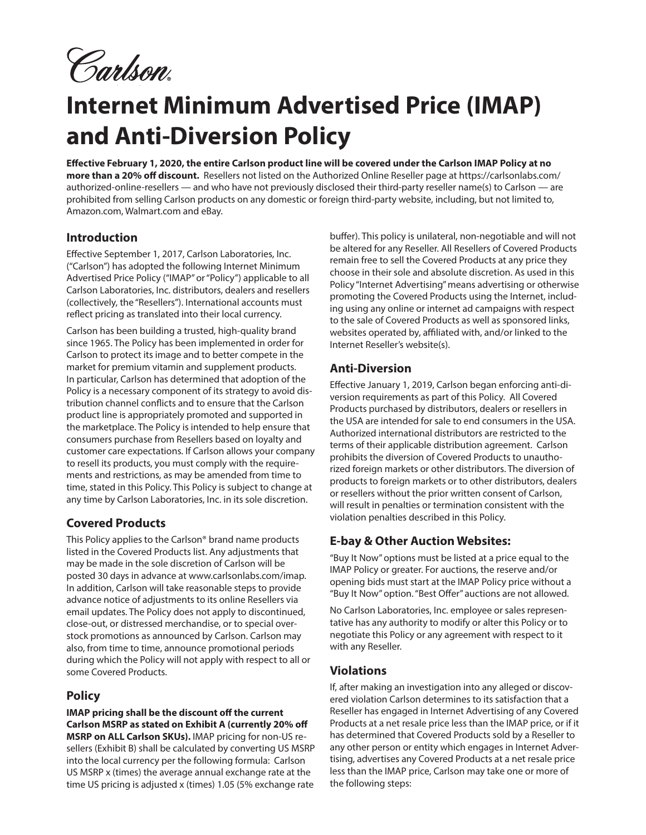Carlson.

# **Internet Minimum Advertised Price (IMAP) and Anti-Diversion Policy**

**Effective February 1, 2020, the entire Carlson product line will be covered under the Carlson IMAP Policy at no more than a 20% off discount.** Resellers not listed on the Authorized Online Reseller page at https://carlsonlabs.com/ authorized-online-resellers — and who have not previously disclosed their third-party reseller name(s) to Carlson — are prohibited from selling Carlson products on any domestic or foreign third-party website, including, but not limited to, Amazon.com, Walmart.com and eBay.

# **Introduction**

Effective September 1, 2017, Carlson Laboratories, Inc. ("Carlson") has adopted the following Internet Minimum Advertised Price Policy ("IMAP" or "Policy") applicable to all Carlson Laboratories, Inc. distributors, dealers and resellers (collectively, the "Resellers"). International accounts must reflect pricing as translated into their local currency.

Carlson has been building a trusted, high-quality brand since 1965. The Policy has been implemented in order for Carlson to protect its image and to better compete in the market for premium vitamin and supplement products. In particular, Carlson has determined that adoption of the Policy is a necessary component of its strategy to avoid distribution channel conflicts and to ensure that the Carlson product line is appropriately promoted and supported in the marketplace. The Policy is intended to help ensure that consumers purchase from Resellers based on loyalty and customer care expectations. If Carlson allows your company to resell its products, you must comply with the requirements and restrictions, as may be amended from time to time, stated in this Policy. This Policy is subject to change at any time by Carlson Laboratories, Inc. in its sole discretion.

#### **Covered Products**

This Policy applies to the Carlson® brand name products listed in the Covered Products list. Any adjustments that may be made in the sole discretion of Carlson will be posted 30 days in advance at www.carlsonlabs.com/imap. In addition, Carlson will take reasonable steps to provide advance notice of adjustments to its online Resellers via email updates. The Policy does not apply to discontinued, close-out, or distressed merchandise, or to special overstock promotions as announced by Carlson. Carlson may also, from time to time, announce promotional periods during which the Policy will not apply with respect to all or some Covered Products.

# **Policy**

**IMAP pricing shall be the discount off the current Carlson MSRP as stated on Exhibit A (currently 20% off MSRP on ALL Carlson SKUs).** IMAP pricing for non-US resellers (Exhibit B) shall be calculated by converting US MSRP into the local currency per the following formula: Carlson US MSRP x (times) the average annual exchange rate at the time US pricing is adjusted x (times) 1.05 (5% exchange rate

buffer). This policy is unilateral, non-negotiable and will not be altered for any Reseller. All Resellers of Covered Products remain free to sell the Covered Products at any price they choose in their sole and absolute discretion. As used in this Policy "Internet Advertising" means advertising or otherwise promoting the Covered Products using the Internet, including using any online or internet ad campaigns with respect to the sale of Covered Products as well as sponsored links, websites operated by, affiliated with, and/or linked to the Internet Reseller's website(s).

#### **Anti-Diversion**

Effective January 1, 2019, Carlson began enforcing anti-diversion requirements as part of this Policy. All Covered Products purchased by distributors, dealers or resellers in the USA are intended for sale to end consumers in the USA. Authorized international distributors are restricted to the terms of their applicable distribution agreement. Carlson prohibits the diversion of Covered Products to unauthorized foreign markets or other distributors. The diversion of products to foreign markets or to other distributors, dealers or resellers without the prior written consent of Carlson, will result in penalties or termination consistent with the violation penalties described in this Policy.

#### **E-bay & Other Auction Websites:**

"Buy It Now" options must be listed at a price equal to the IMAP Policy or greater. For auctions, the reserve and/or opening bids must start at the IMAP Policy price without a "Buy It Now" option. "Best Offer" auctions are not allowed.

No Carlson Laboratories, Inc. employee or sales representative has any authority to modify or alter this Policy or to negotiate this Policy or any agreement with respect to it with any Reseller.

#### **Violations**

If, after making an investigation into any alleged or discovered violation Carlson determines to its satisfaction that a Reseller has engaged in Internet Advertising of any Covered Products at a net resale price less than the IMAP price, or if it has determined that Covered Products sold by a Reseller to any other person or entity which engages in Internet Advertising, advertises any Covered Products at a net resale price less than the IMAP price, Carlson may take one or more of the following steps: